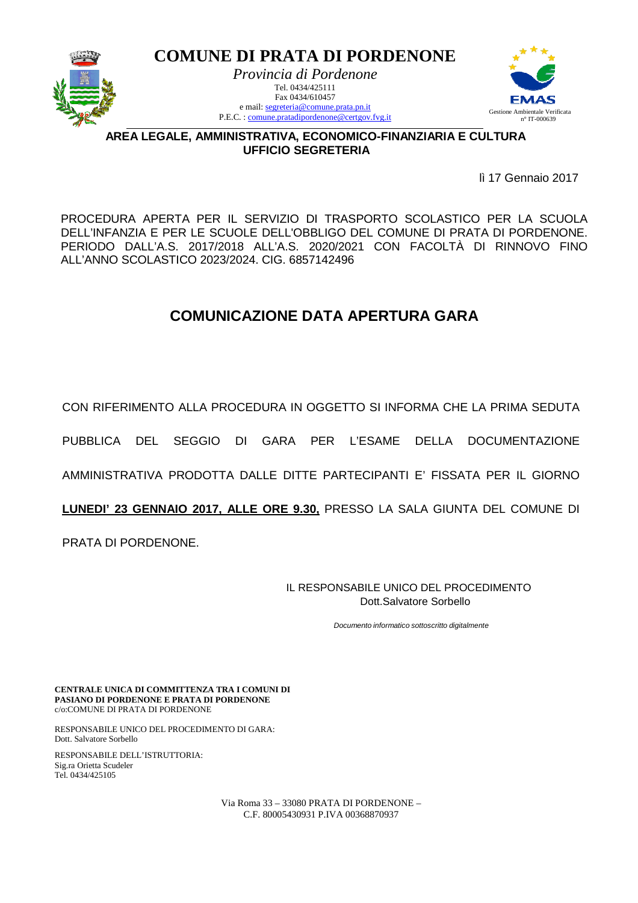

**COMUNE DI PRATA DI PORDENONE**  *Provincia di Pordenone*  Tel. 0434/425111 Fax 0434/610457 e mail: segreteria@comune.prata.pn.it P.E.C. : comune.pratadipordenone@certgov.fvg.it



**AREA LEGALE, AMMINISTRATIVA, ECONOMICO-FINANZIARIA E CULTURA UFFICIO SEGRETERIA**

lì 17 Gennaio 2017

PROCEDURA APERTA PER IL SERVIZIO DI TRASPORTO SCOLASTICO PER LA SCUOLA DELL'INFANZIA E PER LE SCUOLE DELL'OBBLIGO DEL COMUNE DI PRATA DI PORDENONE. PERIODO DALL'A.S. 2017/2018 ALL'A.S. 2020/2021 CON FACOLTÀ DI RINNOVO FINO ALL'ANNO SCOLASTICO 2023/2024. CIG. 6857142496

## **COMUNICAZIONE DATA APERTURA GARA**

CON RIFERIMENTO ALLA PROCEDURA IN OGGETTO SI INFORMA CHE LA PRIMA SEDUTA

PUBBLICA DEL SEGGIO DI GARA PER L'ESAME DELLA DOCUMENTAZIONE

AMMINISTRATIVA PRODOTTA DALLE DITTE PARTECIPANTI E' FISSATA PER IL GIORNO

**LUNEDI' 23 GENNAIO 2017, ALLE ORE 9.30,** PRESSO LA SALA GIUNTA DEL COMUNE DI

PRATA DI PORDENONE.

IL RESPONSABILE UNICO DEL PROCEDIMENTO Dott.Salvatore Sorbello

Documento informatico sottoscritto digitalmente

**CENTRALE UNICA DI COMMITTENZA TRA I COMUNI DI PASIANO DI PORDENONE E PRATA DI PORDENONE** c/o:COMUNE DI PRATA DI PORDENONE

RESPONSABILE UNICO DEL PROCEDIMENTO DI GARA: Dott. Salvatore Sorbello

RESPONSABILE DELL'ISTRUTTORIA: Sig.ra Orietta Scudeler Tel. 0434/425105

> Via Roma 33 – 33080 PRATA DI PORDENONE – C.F. 80005430931 P.IVA 00368870937